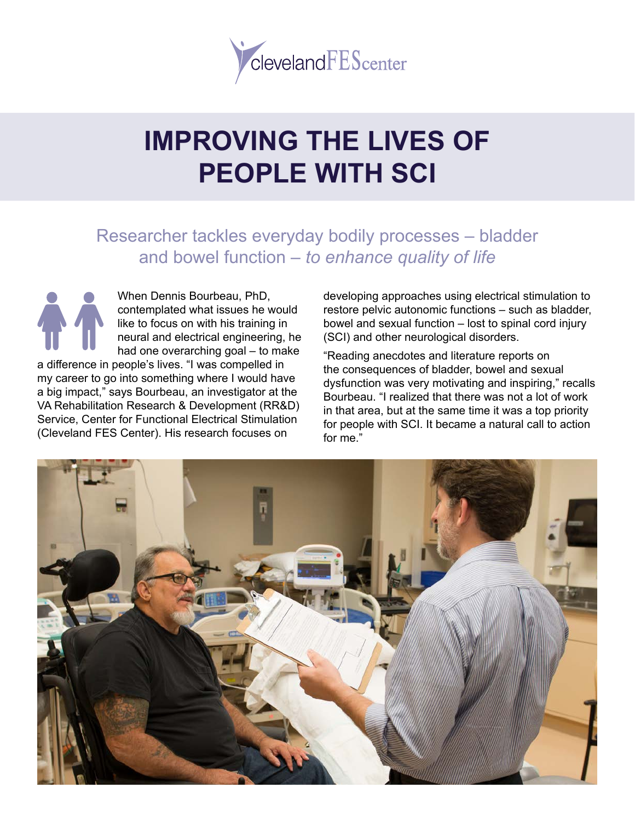

# **IMPROVING THE LIVES OF PEOPLE WITH SCI**

## Researcher tackles everyday bodily processes – bladder and bowel function – *to enhance quality of life*

When Dennis Bourbeau, PhD, contemplated what issues he would like to focus on with his training in neural and electrical engineering, he had one overarching goal – to make

a difference in people's lives. "I was compelled in my career to go into something where I would have a big impact," says Bourbeau, an investigator at the VA Rehabilitation Research & Development (RR&D) Service, Center for Functional Electrical Stimulation (Cleveland FES Center). His research focuses on

developing approaches using electrical stimulation to restore pelvic autonomic functions – such as bladder, bowel and sexual function – lost to spinal cord injury (SCI) and other neurological disorders.

"Reading anecdotes and literature reports on the consequences of bladder, bowel and sexual dysfunction was very motivating and inspiring," recalls Bourbeau. "I realized that there was not a lot of work in that area, but at the same time it was a top priority for people with SCI. It became a natural call to action for me."

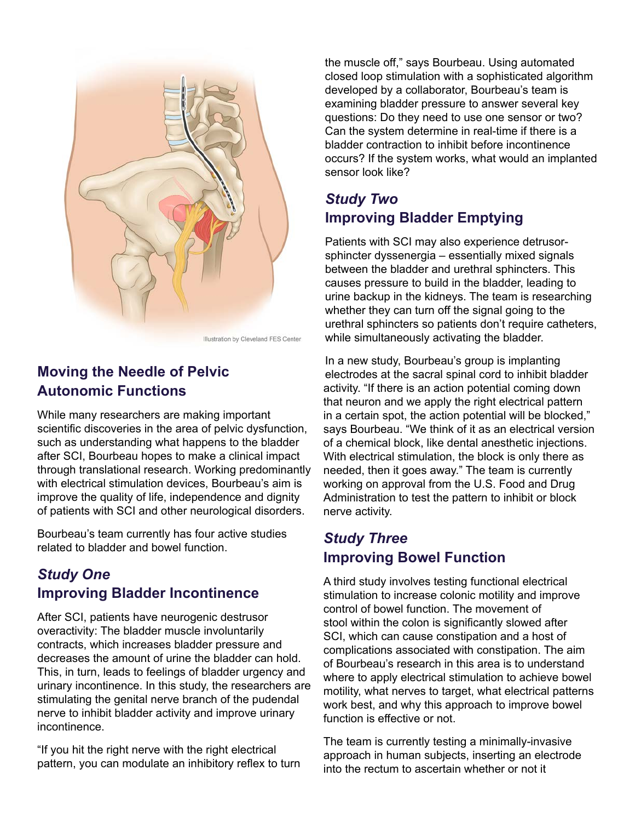

Illustration by Cleveland FES Center

#### **Moving the Needle of Pelvic Autonomic Functions**

While many researchers are making important scientific discoveries in the area of pelvic dysfunction, such as understanding what happens to the bladder after SCI, Bourbeau hopes to make a clinical impact through translational research. Working predominantly with electrical stimulation devices, Bourbeau's aim is improve the quality of life, independence and dignity of patients with SCI and other neurological disorders.

Bourbeau's team currently has four active studies related to bladder and bowel function.

#### *Study One* **Improving Bladder Incontinence**

After SCI, patients have neurogenic destrusor overactivity: The bladder muscle involuntarily contracts, which increases bladder pressure and decreases the amount of urine the bladder can hold. This, in turn, leads to feelings of bladder urgency and urinary incontinence. In this study, the researchers are stimulating the genital nerve branch of the pudendal nerve to inhibit bladder activity and improve urinary incontinence.

"If you hit the right nerve with the right electrical pattern, you can modulate an inhibitory reflex to turn the muscle off," says Bourbeau. Using automated closed loop stimulation with a sophisticated algorithm developed by a collaborator, Bourbeau's team is examining bladder pressure to answer several key questions: Do they need to use one sensor or two? Can the system determine in real-time if there is a bladder contraction to inhibit before incontinence occurs? If the system works, what would an implanted sensor look like?

#### *Study Two*  **Improving Bladder Emptying**

Patients with SCI may also experience detrusorsphincter dyssenergia – essentially mixed signals between the bladder and urethral sphincters. This causes pressure to build in the bladder, leading to urine backup in the kidneys. The team is researching whether they can turn off the signal going to the urethral sphincters so patients don't require catheters, while simultaneously activating the bladder.

In a new study, Bourbeau's group is implanting electrodes at the sacral spinal cord to inhibit bladder activity. "If there is an action potential coming down that neuron and we apply the right electrical pattern in a certain spot, the action potential will be blocked," says Bourbeau. "We think of it as an electrical version of a chemical block, like dental anesthetic injections. With electrical stimulation, the block is only there as needed, then it goes away." The team is currently working on approval from the U.S. Food and Drug Administration to test the pattern to inhibit or block nerve activity.

#### *Study Three* **Improving Bowel Function**

A third study involves testing functional electrical stimulation to increase colonic motility and improve control of bowel function. The movement of stool within the colon is significantly slowed after SCI, which can cause constipation and a host of complications associated with constipation. The aim of Bourbeau's research in this area is to understand where to apply electrical stimulation to achieve bowel motility, what nerves to target, what electrical patterns work best, and why this approach to improve bowel function is effective or not.

The team is currently testing a minimally-invasive approach in human subjects, inserting an electrode into the rectum to ascertain whether or not it